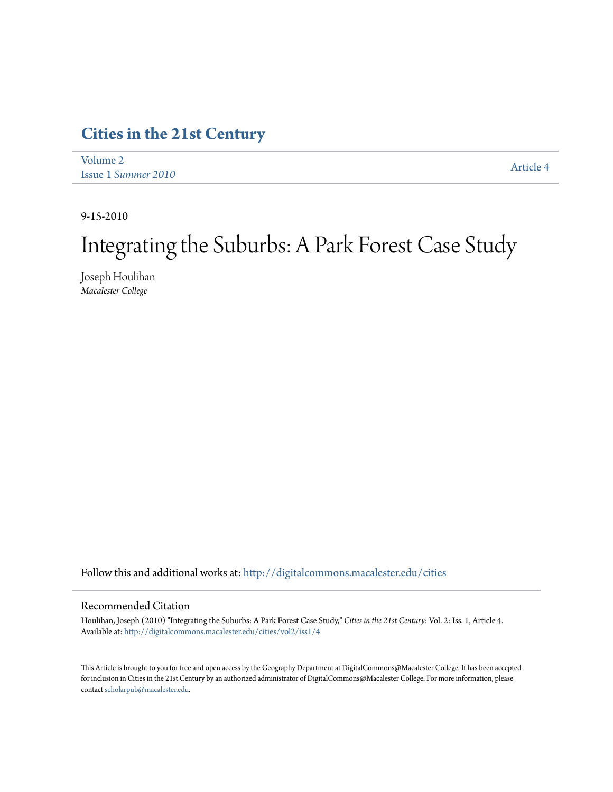# **[Cities in the 21st Century](http://digitalcommons.macalester.edu/cities?utm_source=digitalcommons.macalester.edu%2Fcities%2Fvol2%2Fiss1%2F4&utm_medium=PDF&utm_campaign=PDFCoverPages)**

| Volume 2            | <b>Article 4</b> |
|---------------------|------------------|
| Issue 1 Summer 2010 |                  |

9-15-2010

# Integrating the Suburbs: A Park Forest Case Study

Joseph Houlihan *Macalester College*

Follow this and additional works at: [http://digitalcommons.macalester.edu/cities](http://digitalcommons.macalester.edu/cities?utm_source=digitalcommons.macalester.edu%2Fcities%2Fvol2%2Fiss1%2F4&utm_medium=PDF&utm_campaign=PDFCoverPages)

# Recommended Citation

Houlihan, Joseph (2010) "Integrating the Suburbs: A Park Forest Case Study," *Cities in the 21st Century*: Vol. 2: Iss. 1, Article 4. Available at: [http://digitalcommons.macalester.edu/cities/vol2/iss1/4](http://digitalcommons.macalester.edu/cities/vol2/iss1/4?utm_source=digitalcommons.macalester.edu%2Fcities%2Fvol2%2Fiss1%2F4&utm_medium=PDF&utm_campaign=PDFCoverPages)

This Article is brought to you for free and open access by the Geography Department at DigitalCommons@Macalester College. It has been accepted for inclusion in Cities in the 21st Century by an authorized administrator of DigitalCommons@Macalester College. For more information, please contact [scholarpub@macalester.edu.](mailto:scholarpub@macalester.edu)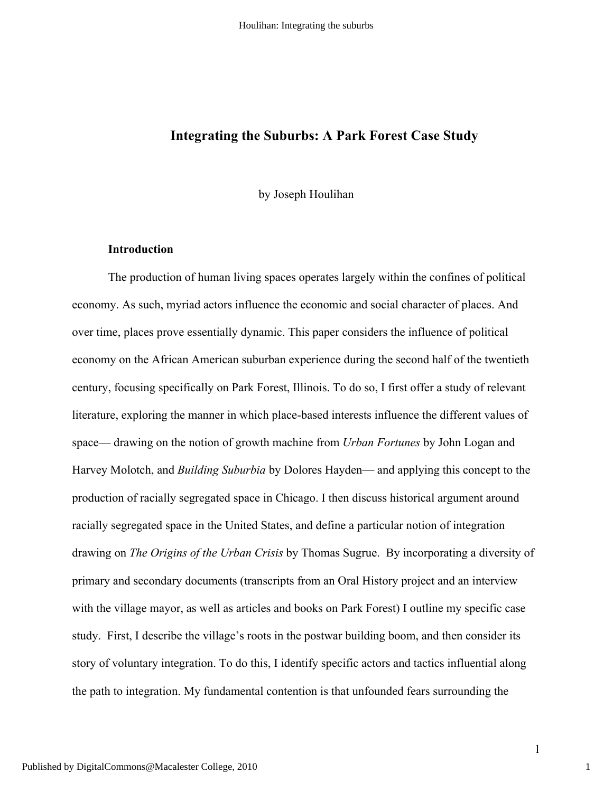# **Integrating the Suburbs: A Park Forest Case Study**

by Joseph Houlihan

# **Introduction**

The production of human living spaces operates largely within the confines of political economy. As such, myriad actors influence the economic and social character of places. And over time, places prove essentially dynamic. This paper considers the influence of political economy on the African American suburban experience during the second half of the twentieth century, focusing specifically on Park Forest, Illinois. To do so, I first offer a study of relevant literature, exploring the manner in which place-based interests influence the different values of space— drawing on the notion of growth machine from *Urban Fortunes* by John Logan and Harvey Molotch, and *Building Suburbia* by Dolores Hayden— and applying this concept to the production of racially segregated space in Chicago. I then discuss historical argument around racially segregated space in the United States, and define a particular notion of integration drawing on *The Origins of the Urban Crisis* by Thomas Sugrue. By incorporating a diversity of primary and secondary documents (transcripts from an Oral History project and an interview with the village mayor, as well as articles and books on Park Forest) I outline my specific case study. First, I describe the village's roots in the postwar building boom, and then consider its story of voluntary integration. To do this, I identify specific actors and tactics influential along the path to integration. My fundamental contention is that unfounded fears surrounding the

1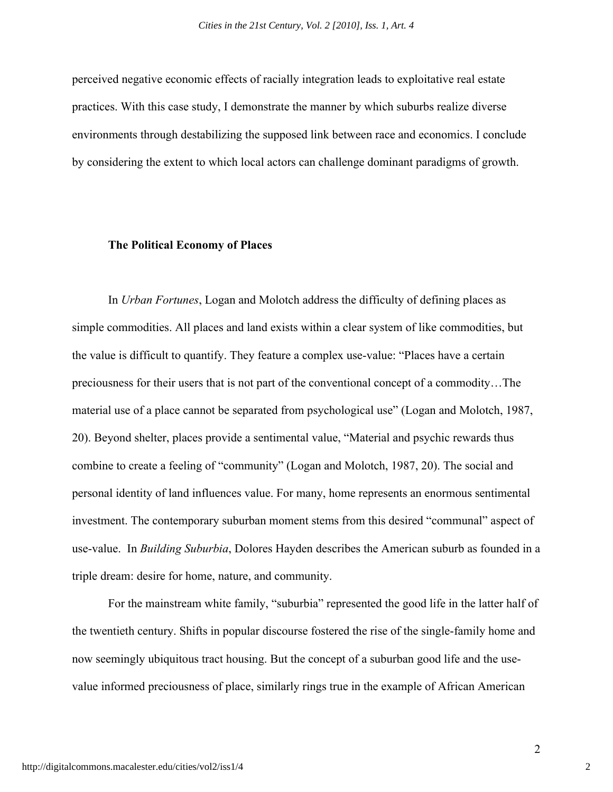perceived negative economic effects of racially integration leads to exploitative real estate practices. With this case study, I demonstrate the manner by which suburbs realize diverse environments through destabilizing the supposed link between race and economics. I conclude by considering the extent to which local actors can challenge dominant paradigms of growth.

# **The Political Economy of Places**

In *Urban Fortunes*, Logan and Molotch address the difficulty of defining places as simple commodities. All places and land exists within a clear system of like commodities, but the value is difficult to quantify. They feature a complex use-value: "Places have a certain preciousness for their users that is not part of the conventional concept of a commodity…The material use of a place cannot be separated from psychological use" (Logan and Molotch, 1987, 20). Beyond shelter, places provide a sentimental value, "Material and psychic rewards thus combine to create a feeling of "community" (Logan and Molotch, 1987, 20). The social and personal identity of land influences value. For many, home represents an enormous sentimental investment. The contemporary suburban moment stems from this desired "communal" aspect of use-value. In *Building Suburbia*, Dolores Hayden describes the American suburb as founded in a triple dream: desire for home, nature, and community.

For the mainstream white family, "suburbia" represented the good life in the latter half of the twentieth century. Shifts in popular discourse fostered the rise of the single-family home and now seemingly ubiquitous tract housing. But the concept of a suburban good life and the usevalue informed preciousness of place, similarly rings true in the example of African American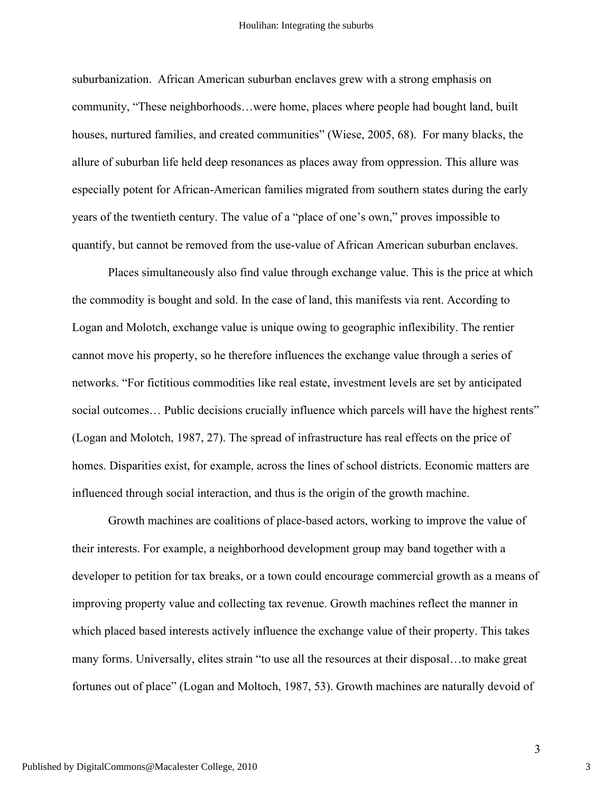suburbanization. African American suburban enclaves grew with a strong emphasis on community, "These neighborhoods…were home, places where people had bought land, built houses, nurtured families, and created communities" (Wiese, 2005, 68). For many blacks, the allure of suburban life held deep resonances as places away from oppression. This allure was especially potent for African-American families migrated from southern states during the early years of the twentieth century. The value of a "place of one's own," proves impossible to quantify, but cannot be removed from the use-value of African American suburban enclaves.

Places simultaneously also find value through exchange value. This is the price at which the commodity is bought and sold. In the case of land, this manifests via rent. According to Logan and Molotch, exchange value is unique owing to geographic inflexibility. The rentier cannot move his property, so he therefore influences the exchange value through a series of networks. "For fictitious commodities like real estate, investment levels are set by anticipated social outcomes... Public decisions crucially influence which parcels will have the highest rents" (Logan and Molotch, 1987, 27). The spread of infrastructure has real effects on the price of homes. Disparities exist, for example, across the lines of school districts. Economic matters are influenced through social interaction, and thus is the origin of the growth machine.

Growth machines are coalitions of place-based actors, working to improve the value of their interests. For example, a neighborhood development group may band together with a developer to petition for tax breaks, or a town could encourage commercial growth as a means of improving property value and collecting tax revenue. Growth machines reflect the manner in which placed based interests actively influence the exchange value of their property. This takes many forms. Universally, elites strain "to use all the resources at their disposal…to make great fortunes out of place" (Logan and Moltoch, 1987, 53). Growth machines are naturally devoid of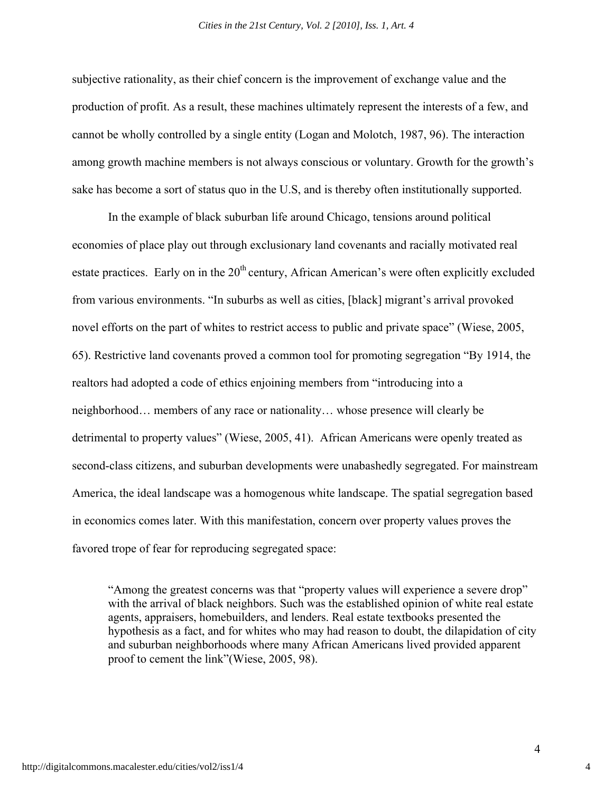subjective rationality, as their chief concern is the improvement of exchange value and the production of profit. As a result, these machines ultimately represent the interests of a few, and cannot be wholly controlled by a single entity (Logan and Molotch, 1987, 96). The interaction among growth machine members is not always conscious or voluntary. Growth for the growth's sake has become a sort of status quo in the U.S, and is thereby often institutionally supported.

In the example of black suburban life around Chicago, tensions around political economies of place play out through exclusionary land covenants and racially motivated real estate practices. Early on in the  $20<sup>th</sup>$  century, African American's were often explicitly excluded from various environments. "In suburbs as well as cities, [black] migrant's arrival provoked novel efforts on the part of whites to restrict access to public and private space" (Wiese, 2005, 65). Restrictive land covenants proved a common tool for promoting segregation "By 1914, the realtors had adopted a code of ethics enjoining members from "introducing into a neighborhood… members of any race or nationality… whose presence will clearly be detrimental to property values" (Wiese, 2005, 41). African Americans were openly treated as second-class citizens, and suburban developments were unabashedly segregated. For mainstream America, the ideal landscape was a homogenous white landscape. The spatial segregation based in economics comes later. With this manifestation, concern over property values proves the favored trope of fear for reproducing segregated space:

"Among the greatest concerns was that "property values will experience a severe drop" with the arrival of black neighbors. Such was the established opinion of white real estate agents, appraisers, homebuilders, and lenders. Real estate textbooks presented the hypothesis as a fact, and for whites who may had reason to doubt, the dilapidation of city and suburban neighborhoods where many African Americans lived provided apparent proof to cement the link"(Wiese, 2005, 98).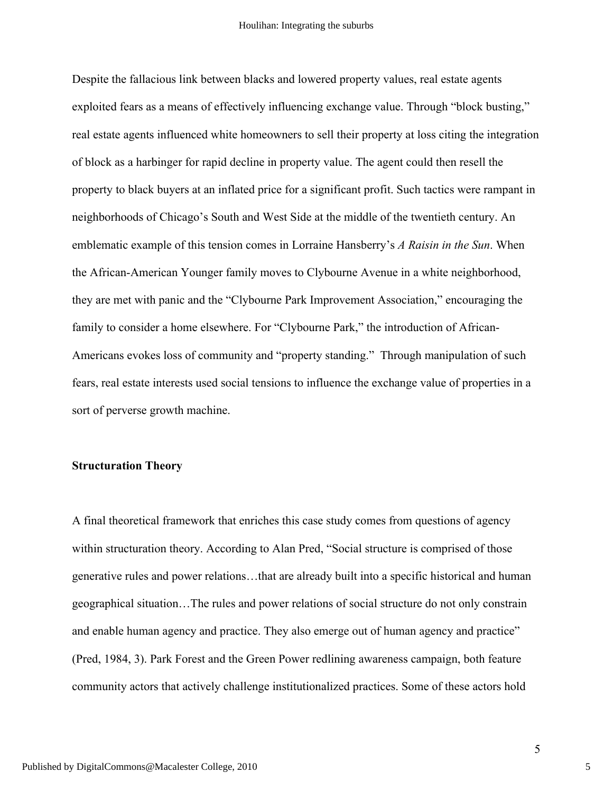Despite the fallacious link between blacks and lowered property values, real estate agents exploited fears as a means of effectively influencing exchange value. Through "block busting," real estate agents influenced white homeowners to sell their property at loss citing the integration of block as a harbinger for rapid decline in property value. The agent could then resell the property to black buyers at an inflated price for a significant profit. Such tactics were rampant in neighborhoods of Chicago's South and West Side at the middle of the twentieth century. An emblematic example of this tension comes in Lorraine Hansberry's *A Raisin in the Sun*. When the African-American Younger family moves to Clybourne Avenue in a white neighborhood, they are met with panic and the "Clybourne Park Improvement Association," encouraging the family to consider a home elsewhere. For "Clybourne Park," the introduction of African-Americans evokes loss of community and "property standing." Through manipulation of such fears, real estate interests used social tensions to influence the exchange value of properties in a sort of perverse growth machine.

# **Structuration Theory**

A final theoretical framework that enriches this case study comes from questions of agency within structuration theory. According to Alan Pred, "Social structure is comprised of those generative rules and power relations…that are already built into a specific historical and human geographical situation…The rules and power relations of social structure do not only constrain and enable human agency and practice. They also emerge out of human agency and practice" (Pred, 1984, 3). Park Forest and the Green Power redlining awareness campaign, both feature community actors that actively challenge institutionalized practices. Some of these actors hold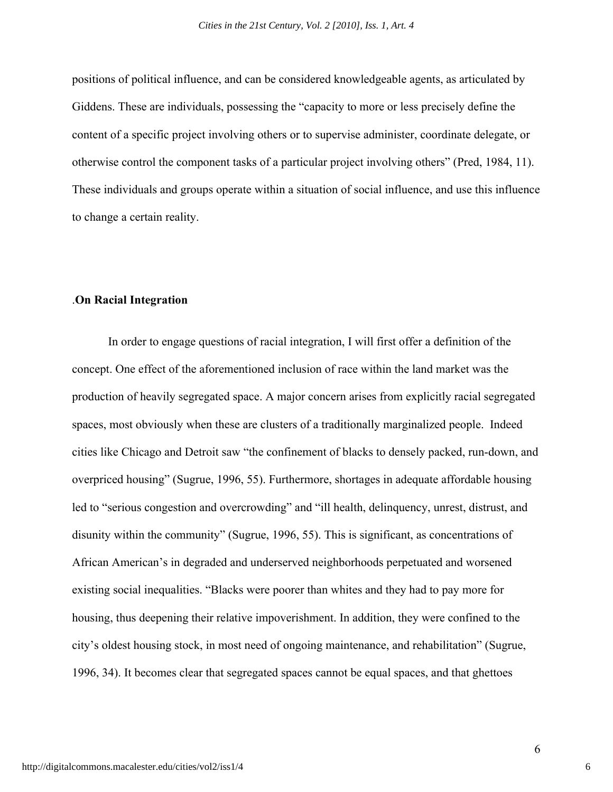positions of political influence, and can be considered knowledgeable agents, as articulated by Giddens. These are individuals, possessing the "capacity to more or less precisely define the content of a specific project involving others or to supervise administer, coordinate delegate, or otherwise control the component tasks of a particular project involving others" (Pred, 1984, 11). These individuals and groups operate within a situation of social influence, and use this influence to change a certain reality.

# .**On Racial Integration**

In order to engage questions of racial integration, I will first offer a definition of the concept. One effect of the aforementioned inclusion of race within the land market was the production of heavily segregated space. A major concern arises from explicitly racial segregated spaces, most obviously when these are clusters of a traditionally marginalized people. Indeed cities like Chicago and Detroit saw "the confinement of blacks to densely packed, run-down, and overpriced housing" (Sugrue, 1996, 55). Furthermore, shortages in adequate affordable housing led to "serious congestion and overcrowding" and "ill health, delinquency, unrest, distrust, and disunity within the community" (Sugrue, 1996, 55). This is significant, as concentrations of African American's in degraded and underserved neighborhoods perpetuated and worsened existing social inequalities. "Blacks were poorer than whites and they had to pay more for housing, thus deepening their relative impoverishment. In addition, they were confined to the city's oldest housing stock, in most need of ongoing maintenance, and rehabilitation" (Sugrue, 1996, 34). It becomes clear that segregated spaces cannot be equal spaces, and that ghettoes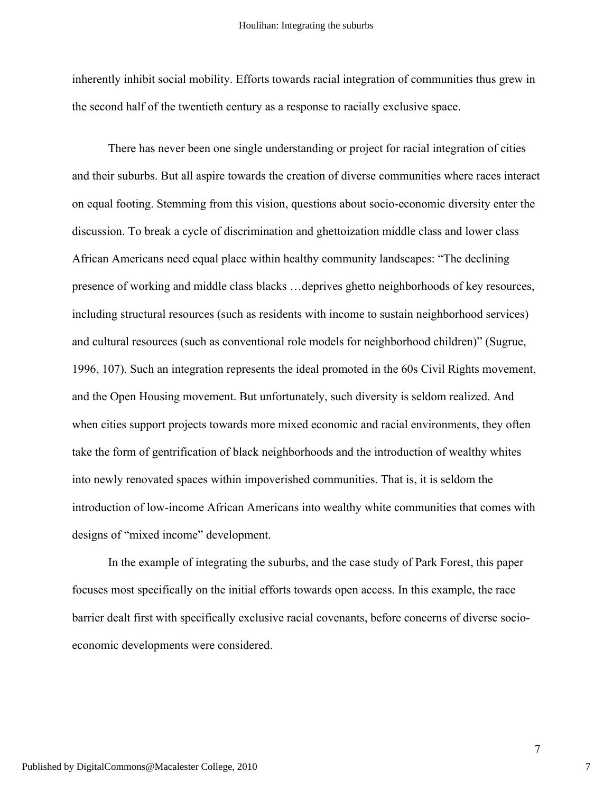inherently inhibit social mobility. Efforts towards racial integration of communities thus grew in the second half of the twentieth century as a response to racially exclusive space.

There has never been one single understanding or project for racial integration of cities and their suburbs. But all aspire towards the creation of diverse communities where races interact on equal footing. Stemming from this vision, questions about socio-economic diversity enter the discussion. To break a cycle of discrimination and ghettoization middle class and lower class African Americans need equal place within healthy community landscapes: "The declining presence of working and middle class blacks …deprives ghetto neighborhoods of key resources, including structural resources (such as residents with income to sustain neighborhood services) and cultural resources (such as conventional role models for neighborhood children)" (Sugrue, 1996, 107). Such an integration represents the ideal promoted in the 60s Civil Rights movement, and the Open Housing movement. But unfortunately, such diversity is seldom realized. And when cities support projects towards more mixed economic and racial environments, they often take the form of gentrification of black neighborhoods and the introduction of wealthy whites into newly renovated spaces within impoverished communities. That is, it is seldom the introduction of low-income African Americans into wealthy white communities that comes with designs of "mixed income" development.

In the example of integrating the suburbs, and the case study of Park Forest, this paper focuses most specifically on the initial efforts towards open access. In this example, the race barrier dealt first with specifically exclusive racial covenants, before concerns of diverse socioeconomic developments were considered.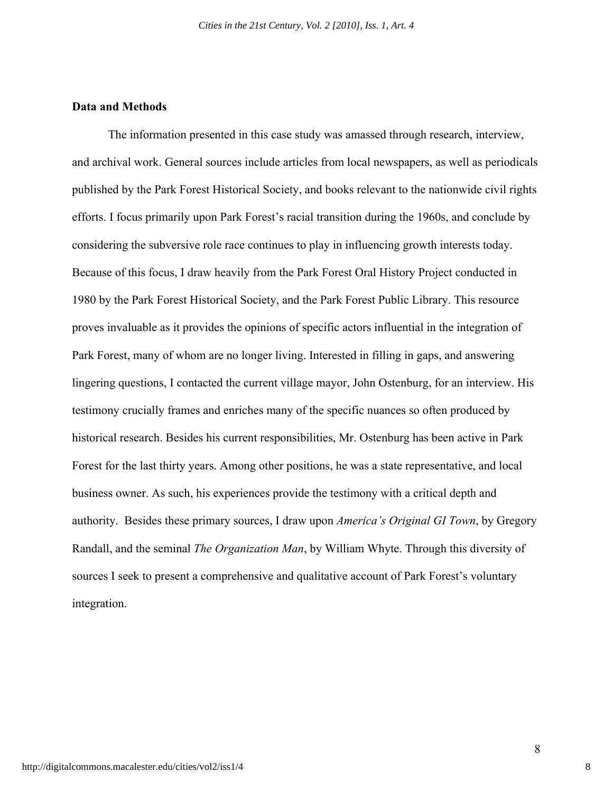# **Data and Methods**

The information presented in this case study was amassed through research, interview, and archival work. General sources include articles from local newspapers, as well as periodicals published by the Park Forest Historical Society, and books relevant to the nationwide civil rights efforts. I focus primarily upon Park Forest's racial transition during the 1960s, and conclude by considering the subversive role race continues to play in influencing growth interests today. Because of this focus, I draw heavily from the Park Forest Oral History Project conducted in 1980 by the Park Forest Historical Society, and the Park Forest Public Library. This resource proves invaluable as it provides the opinions of specific actors influential in the integration of Park Forest, many of whom are no longer living. Interested in filling in gaps, and answering lingering questions, I contacted the current village mayor, John Ostenburg, for an interview. His testimony crucially frames and enriches many of the specific nuances so often produced by historical research. Besides his current responsibilities, Mr. Ostenburg has been active in Park Forest for the last thirty years. Among other positions, he was a state representative, and local business owner. As such, his experiences provide the testimony with a critical depth and authority. Besides these primary sources, I draw upon *America's Original GI Town*, by Gregory Randall, and the seminal *The Organization Man*, by William Whyte. Through this diversity of sources I seek to present a comprehensive and qualitative account of Park Forest's voluntary integration.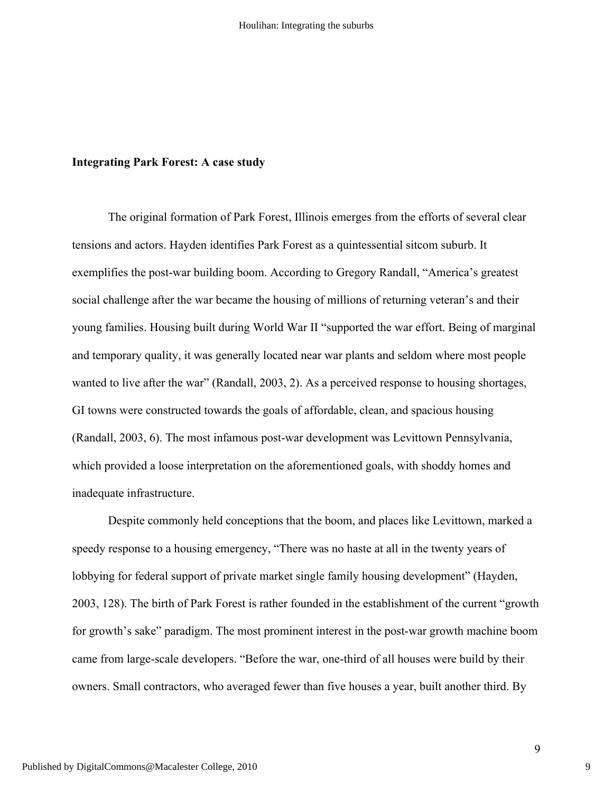#### **Integrating Park Forest: A case study**

The original formation of Park Forest, Illinois emerges from the efforts of several clear tensions and actors. Hayden identifies Park Forest as a quintessential sitcom suburb. It exemplifies the post-war building boom. According to Gregory Randall, "America's greatest social challenge after the war became the housing of millions of returning veteran's and their young families. Housing built during World War II "supported the war effort. Being of marginal and temporary quality, it was generally located near war plants and seldom where most people wanted to live after the war" (Randall, 2003, 2). As a perceived response to housing shortages, GI towns were constructed towards the goals of affordable, clean, and spacious housing (Randall, 2003, 6). The most infamous post-war development was Levittown Pennsylvania, which provided a loose interpretation on the aforementioned goals, with shoddy homes and inadequate infrastructure.

Despite commonly held conceptions that the boom, and places like Levittown, marked a speedy response to a housing emergency, "There was no haste at all in the twenty years of lobbying for federal support of private market single family housing development" (Hayden, 2003, 128). The birth of Park Forest is rather founded in the establishment of the current "growth for growth's sake" paradigm. The most prominent interest in the post-war growth machine boom came from large-scale developers. "Before the war, one-third of all houses were build by their owners. Small contractors, who averaged fewer than five houses a year, built another third. By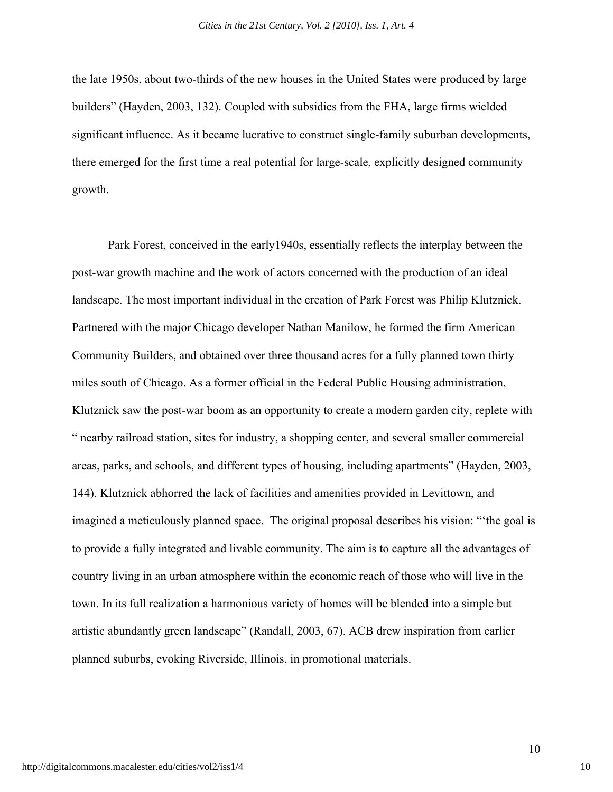the late 1950s, about two-thirds of the new houses in the United States were produced by large builders" (Hayden, 2003, 132). Coupled with subsidies from the FHA, large firms wielded significant influence. As it became lucrative to construct single-family suburban developments, there emerged for the first time a real potential for large-scale, explicitly designed community growth.

Park Forest, conceived in the early1940s, essentially reflects the interplay between the post-war growth machine and the work of actors concerned with the production of an ideal landscape. The most important individual in the creation of Park Forest was Philip Klutznick. Partnered with the major Chicago developer Nathan Manilow, he formed the firm American Community Builders, and obtained over three thousand acres for a fully planned town thirty miles south of Chicago. As a former official in the Federal Public Housing administration, Klutznick saw the post-war boom as an opportunity to create a modern garden city, replete with " nearby railroad station, sites for industry, a shopping center, and several smaller commercial areas, parks, and schools, and different types of housing, including apartments" (Hayden, 2003, 144). Klutznick abhorred the lack of facilities and amenities provided in Levittown, and imagined a meticulously planned space. The original proposal describes his vision: "'the goal is to provide a fully integrated and livable community. The aim is to capture all the advantages of country living in an urban atmosphere within the economic reach of those who will live in the town. In its full realization a harmonious variety of homes will be blended into a simple but artistic abundantly green landscape" (Randall, 2003, 67). ACB drew inspiration from earlier planned suburbs, evoking Riverside, Illinois, in promotional materials.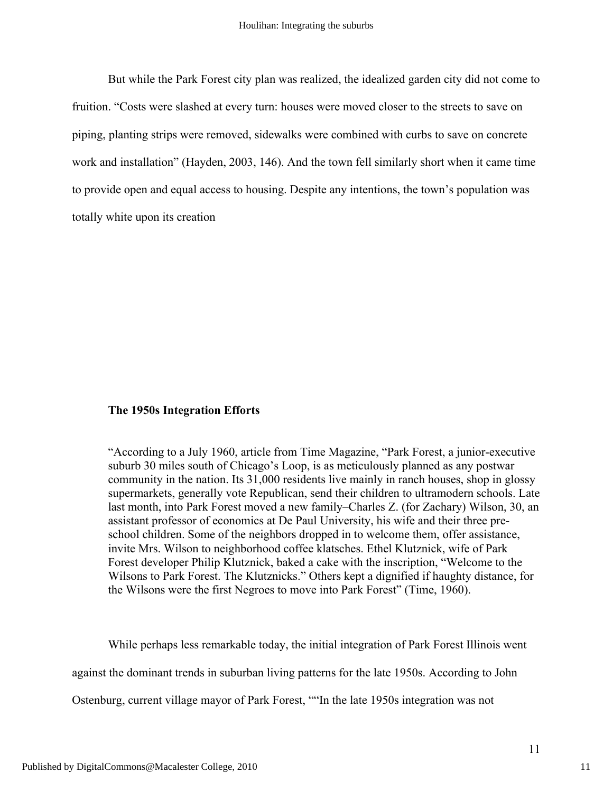But while the Park Forest city plan was realized, the idealized garden city did not come to fruition. "Costs were slashed at every turn: houses were moved closer to the streets to save on piping, planting strips were removed, sidewalks were combined with curbs to save on concrete work and installation" (Hayden, 2003, 146). And the town fell similarly short when it came time to provide open and equal access to housing. Despite any intentions, the town's population was totally white upon its creation

# **The 1950s Integration Efforts**

"According to a July 1960, article from Time Magazine, "Park Forest, a junior-executive suburb 30 miles south of Chicago's Loop, is as meticulously planned as any postwar community in the nation. Its 31,000 residents live mainly in ranch houses, shop in glossy supermarkets, generally vote Republican, send their children to ultramodern schools. Late last month, into Park Forest moved a new family–Charles Z. (for Zachary) Wilson, 30, an assistant professor of economics at De Paul University, his wife and their three preschool children. Some of the neighbors dropped in to welcome them, offer assistance, invite Mrs. Wilson to neighborhood coffee klatsches. Ethel Klutznick, wife of Park Forest developer Philip Klutznick, baked a cake with the inscription, "Welcome to the Wilsons to Park Forest. The Klutznicks." Others kept a dignified if haughty distance, for the Wilsons were the first Negroes to move into Park Forest" (Time, 1960).

While perhaps less remarkable today, the initial integration of Park Forest Illinois went

against the dominant trends in suburban living patterns for the late 1950s. According to John

Ostenburg, current village mayor of Park Forest, ""In the late 1950s integration was not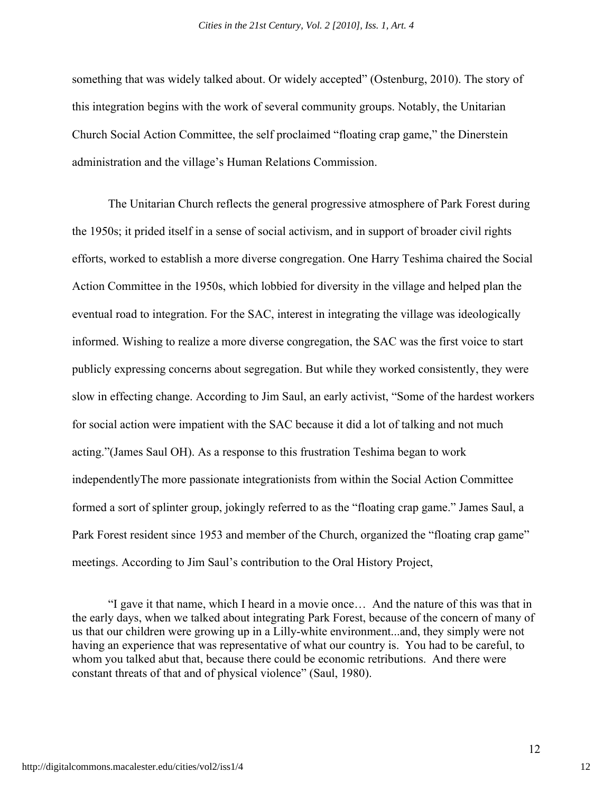something that was widely talked about. Or widely accepted" (Ostenburg, 2010). The story of this integration begins with the work of several community groups. Notably, the Unitarian Church Social Action Committee, the self proclaimed "floating crap game," the Dinerstein administration and the village's Human Relations Commission.

The Unitarian Church reflects the general progressive atmosphere of Park Forest during the 1950s; it prided itself in a sense of social activism, and in support of broader civil rights efforts, worked to establish a more diverse congregation. One Harry Teshima chaired the Social Action Committee in the 1950s, which lobbied for diversity in the village and helped plan the eventual road to integration. For the SAC, interest in integrating the village was ideologically informed. Wishing to realize a more diverse congregation, the SAC was the first voice to start publicly expressing concerns about segregation. But while they worked consistently, they were slow in effecting change. According to Jim Saul, an early activist, "Some of the hardest workers for social action were impatient with the SAC because it did a lot of talking and not much acting."(James Saul OH). As a response to this frustration Teshima began to work independentlyThe more passionate integrationists from within the Social Action Committee formed a sort of splinter group, jokingly referred to as the "floating crap game." James Saul, a Park Forest resident since 1953 and member of the Church, organized the "floating crap game" meetings. According to Jim Saul's contribution to the Oral History Project,

"I gave it that name, which I heard in a movie once… And the nature of this was that in the early days, when we talked about integrating Park Forest, because of the concern of many of us that our children were growing up in a Lilly-white environment...and, they simply were not having an experience that was representative of what our country is. You had to be careful, to whom you talked abut that, because there could be economic retributions. And there were constant threats of that and of physical violence" (Saul, 1980).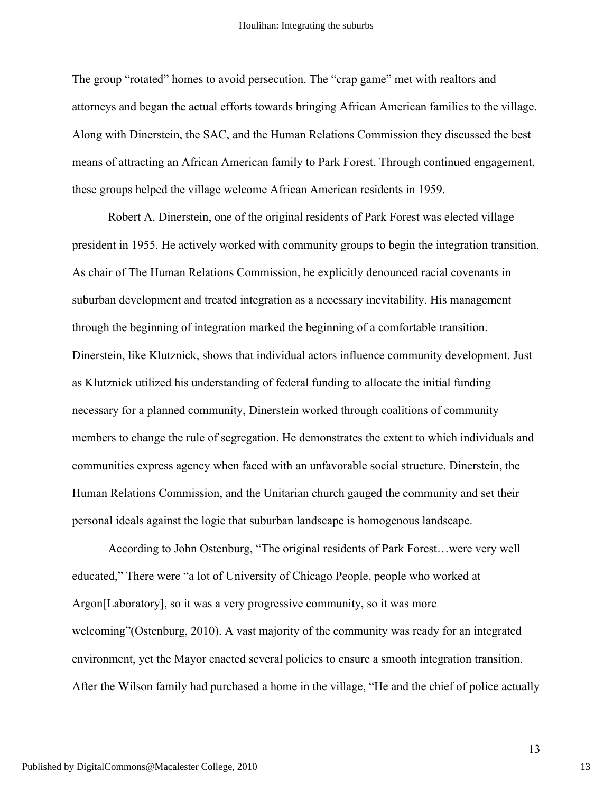The group "rotated" homes to avoid persecution. The "crap game" met with realtors and attorneys and began the actual efforts towards bringing African American families to the village. Along with Dinerstein, the SAC, and the Human Relations Commission they discussed the best means of attracting an African American family to Park Forest. Through continued engagement, these groups helped the village welcome African American residents in 1959.

Robert A. Dinerstein, one of the original residents of Park Forest was elected village president in 1955. He actively worked with community groups to begin the integration transition. As chair of The Human Relations Commission, he explicitly denounced racial covenants in suburban development and treated integration as a necessary inevitability. His management through the beginning of integration marked the beginning of a comfortable transition. Dinerstein, like Klutznick, shows that individual actors influence community development. Just as Klutznick utilized his understanding of federal funding to allocate the initial funding necessary for a planned community, Dinerstein worked through coalitions of community members to change the rule of segregation. He demonstrates the extent to which individuals and communities express agency when faced with an unfavorable social structure. Dinerstein, the Human Relations Commission, and the Unitarian church gauged the community and set their personal ideals against the logic that suburban landscape is homogenous landscape.

According to John Ostenburg, "The original residents of Park Forest…were very well educated," There were "a lot of University of Chicago People, people who worked at Argon[Laboratory], so it was a very progressive community, so it was more welcoming"(Ostenburg, 2010). A vast majority of the community was ready for an integrated environment, yet the Mayor enacted several policies to ensure a smooth integration transition. After the Wilson family had purchased a home in the village, "He and the chief of police actually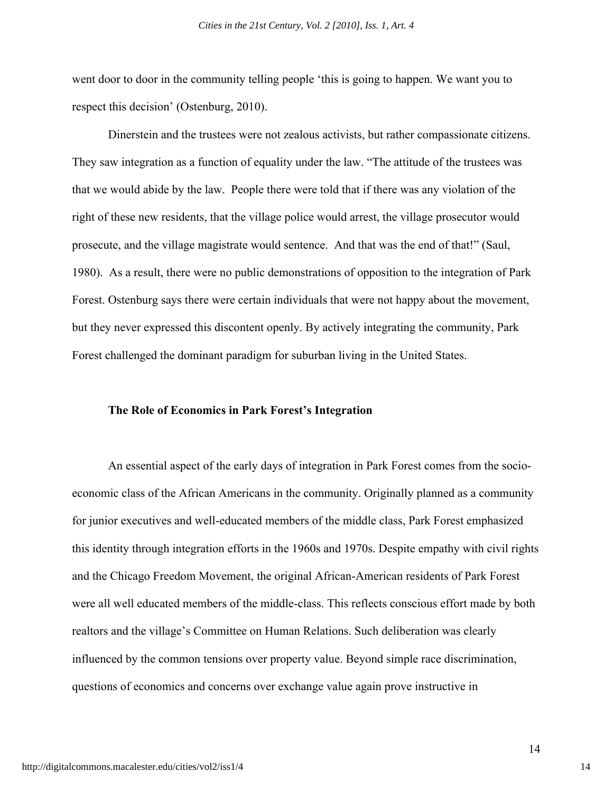went door to door in the community telling people 'this is going to happen. We want you to respect this decision' (Ostenburg, 2010).

Dinerstein and the trustees were not zealous activists, but rather compassionate citizens. They saw integration as a function of equality under the law. "The attitude of the trustees was that we would abide by the law. People there were told that if there was any violation of the right of these new residents, that the village police would arrest, the village prosecutor would prosecute, and the village magistrate would sentence. And that was the end of that!" (Saul, 1980). As a result, there were no public demonstrations of opposition to the integration of Park Forest. Ostenburg says there were certain individuals that were not happy about the movement, but they never expressed this discontent openly. By actively integrating the community, Park Forest challenged the dominant paradigm for suburban living in the United States.

#### **The Role of Economics in Park Forest's Integration**

An essential aspect of the early days of integration in Park Forest comes from the socioeconomic class of the African Americans in the community. Originally planned as a community for junior executives and well-educated members of the middle class, Park Forest emphasized this identity through integration efforts in the 1960s and 1970s. Despite empathy with civil rights and the Chicago Freedom Movement, the original African-American residents of Park Forest were all well educated members of the middle-class. This reflects conscious effort made by both realtors and the village's Committee on Human Relations. Such deliberation was clearly influenced by the common tensions over property value. Beyond simple race discrimination, questions of economics and concerns over exchange value again prove instructive in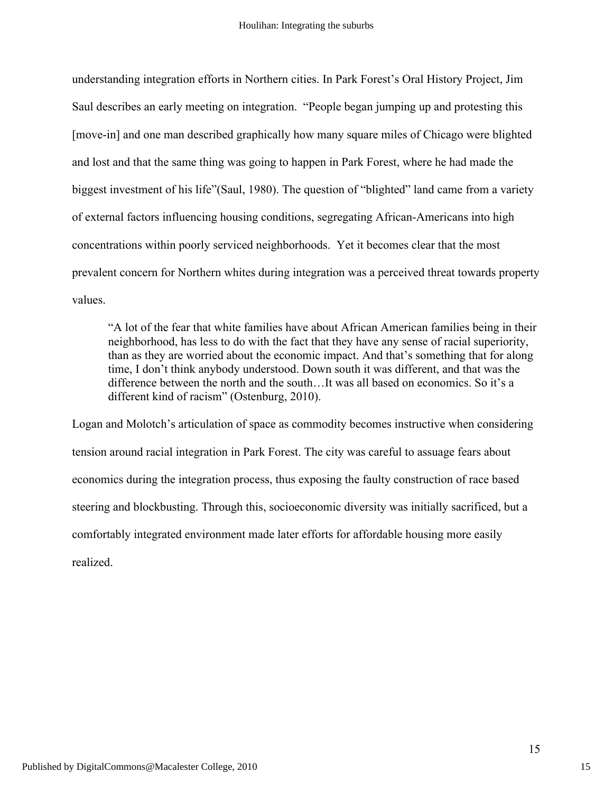understanding integration efforts in Northern cities. In Park Forest's Oral History Project, Jim Saul describes an early meeting on integration. "People began jumping up and protesting this [move-in] and one man described graphically how many square miles of Chicago were blighted and lost and that the same thing was going to happen in Park Forest, where he had made the biggest investment of his life"(Saul, 1980). The question of "blighted" land came from a variety of external factors influencing housing conditions, segregating African-Americans into high concentrations within poorly serviced neighborhoods. Yet it becomes clear that the most prevalent concern for Northern whites during integration was a perceived threat towards property values.

"A lot of the fear that white families have about African American families being in their neighborhood, has less to do with the fact that they have any sense of racial superiority, than as they are worried about the economic impact. And that's something that for along time, I don't think anybody understood. Down south it was different, and that was the difference between the north and the south…It was all based on economics. So it's a different kind of racism" (Ostenburg, 2010).

Logan and Molotch's articulation of space as commodity becomes instructive when considering tension around racial integration in Park Forest. The city was careful to assuage fears about economics during the integration process, thus exposing the faulty construction of race based steering and blockbusting. Through this, socioeconomic diversity was initially sacrificed, but a comfortably integrated environment made later efforts for affordable housing more easily realized.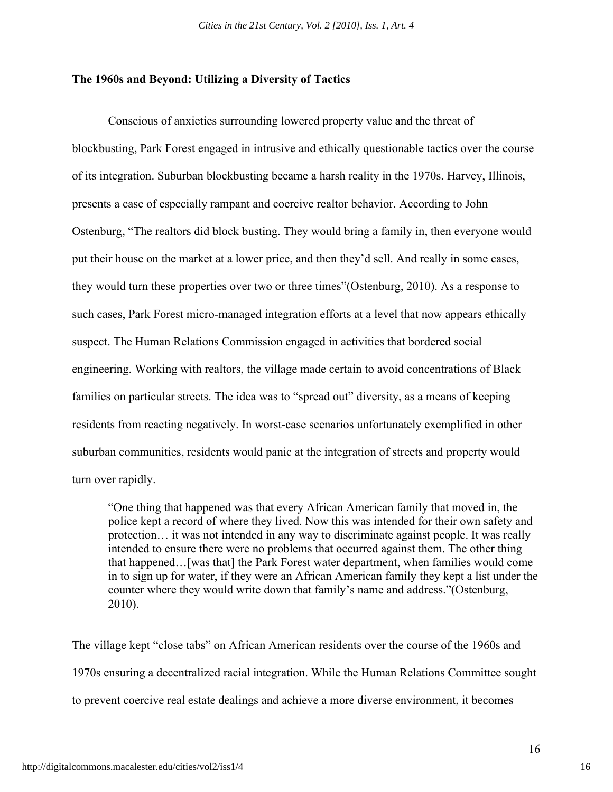# **The 1960s and Beyond: Utilizing a Diversity of Tactics**

Conscious of anxieties surrounding lowered property value and the threat of blockbusting, Park Forest engaged in intrusive and ethically questionable tactics over the course of its integration. Suburban blockbusting became a harsh reality in the 1970s. Harvey, Illinois, presents a case of especially rampant and coercive realtor behavior. According to John Ostenburg, "The realtors did block busting. They would bring a family in, then everyone would put their house on the market at a lower price, and then they'd sell. And really in some cases, they would turn these properties over two or three times"(Ostenburg, 2010). As a response to such cases, Park Forest micro-managed integration efforts at a level that now appears ethically suspect. The Human Relations Commission engaged in activities that bordered social engineering. Working with realtors, the village made certain to avoid concentrations of Black families on particular streets. The idea was to "spread out" diversity, as a means of keeping residents from reacting negatively. In worst-case scenarios unfortunately exemplified in other suburban communities, residents would panic at the integration of streets and property would turn over rapidly.

"One thing that happened was that every African American family that moved in, the police kept a record of where they lived. Now this was intended for their own safety and protection… it was not intended in any way to discriminate against people. It was really intended to ensure there were no problems that occurred against them. The other thing that happened…[was that] the Park Forest water department, when families would come in to sign up for water, if they were an African American family they kept a list under the counter where they would write down that family's name and address."(Ostenburg, 2010).

The village kept "close tabs" on African American residents over the course of the 1960s and 1970s ensuring a decentralized racial integration. While the Human Relations Committee sought to prevent coercive real estate dealings and achieve a more diverse environment, it becomes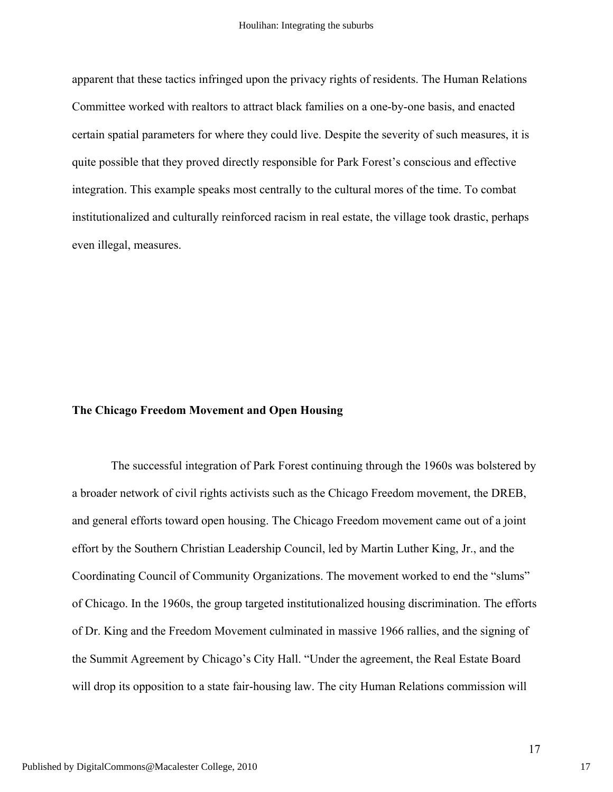apparent that these tactics infringed upon the privacy rights of residents. The Human Relations Committee worked with realtors to attract black families on a one-by-one basis, and enacted certain spatial parameters for where they could live. Despite the severity of such measures, it is quite possible that they proved directly responsible for Park Forest's conscious and effective integration. This example speaks most centrally to the cultural mores of the time. To combat institutionalized and culturally reinforced racism in real estate, the village took drastic, perhaps even illegal, measures.

#### **The Chicago Freedom Movement and Open Housing**

 The successful integration of Park Forest continuing through the 1960s was bolstered by a broader network of civil rights activists such as the Chicago Freedom movement, the DREB, and general efforts toward open housing. The Chicago Freedom movement came out of a joint effort by the Southern Christian Leadership Council, led by Martin Luther King, Jr., and the Coordinating Council of Community Organizations. The movement worked to end the "slums" of Chicago. In the 1960s, the group targeted institutionalized housing discrimination. The efforts of Dr. King and the Freedom Movement culminated in massive 1966 rallies, and the signing of the Summit Agreement by Chicago's City Hall. "Under the agreement, the Real Estate Board will drop its opposition to a state fair-housing law. The city Human Relations commission will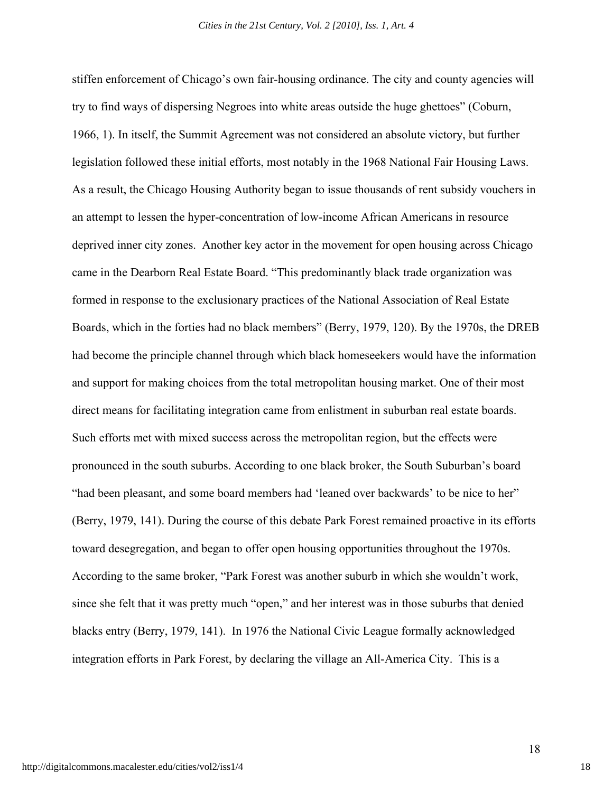stiffen enforcement of Chicago's own fair-housing ordinance. The city and county agencies will try to find ways of dispersing Negroes into white areas outside the huge ghettoes" (Coburn, 1966, 1). In itself, the Summit Agreement was not considered an absolute victory, but further legislation followed these initial efforts, most notably in the 1968 National Fair Housing Laws. As a result, the Chicago Housing Authority began to issue thousands of rent subsidy vouchers in an attempt to lessen the hyper-concentration of low-income African Americans in resource deprived inner city zones. Another key actor in the movement for open housing across Chicago came in the Dearborn Real Estate Board. "This predominantly black trade organization was formed in response to the exclusionary practices of the National Association of Real Estate Boards, which in the forties had no black members" (Berry, 1979, 120). By the 1970s, the DREB had become the principle channel through which black homeseekers would have the information and support for making choices from the total metropolitan housing market. One of their most direct means for facilitating integration came from enlistment in suburban real estate boards. Such efforts met with mixed success across the metropolitan region, but the effects were pronounced in the south suburbs. According to one black broker, the South Suburban's board "had been pleasant, and some board members had 'leaned over backwards' to be nice to her" (Berry, 1979, 141). During the course of this debate Park Forest remained proactive in its efforts toward desegregation, and began to offer open housing opportunities throughout the 1970s. According to the same broker, "Park Forest was another suburb in which she wouldn't work, since she felt that it was pretty much "open," and her interest was in those suburbs that denied blacks entry (Berry, 1979, 141). In 1976 the National Civic League formally acknowledged integration efforts in Park Forest, by declaring the village an All-America City. This is a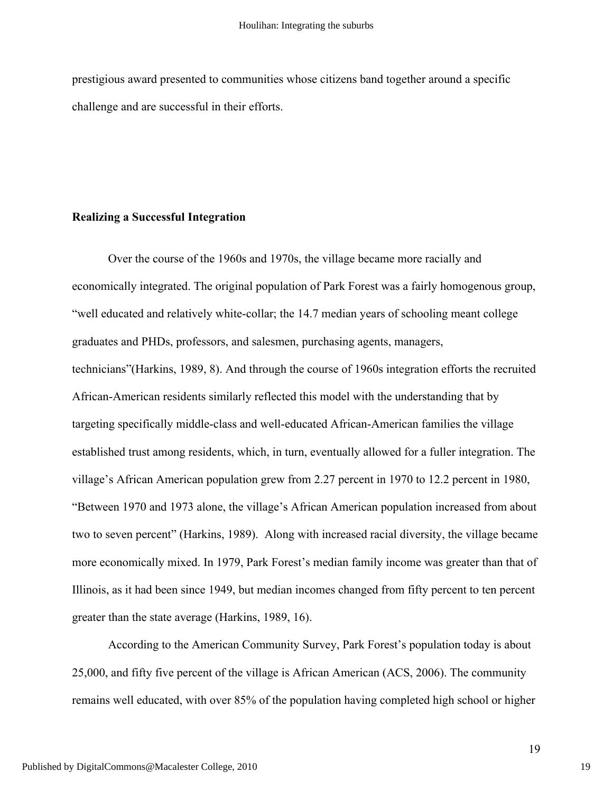prestigious award presented to communities whose citizens band together around a specific challenge and are successful in their efforts.

# **Realizing a Successful Integration**

Over the course of the 1960s and 1970s, the village became more racially and economically integrated. The original population of Park Forest was a fairly homogenous group, "well educated and relatively white-collar; the 14.7 median years of schooling meant college graduates and PHDs, professors, and salesmen, purchasing agents, managers, technicians"(Harkins, 1989, 8). And through the course of 1960s integration efforts the recruited African-American residents similarly reflected this model with the understanding that by targeting specifically middle-class and well-educated African-American families the village established trust among residents, which, in turn, eventually allowed for a fuller integration. The village's African American population grew from 2.27 percent in 1970 to 12.2 percent in 1980, "Between 1970 and 1973 alone, the village's African American population increased from about two to seven percent" (Harkins, 1989). Along with increased racial diversity, the village became more economically mixed. In 1979, Park Forest's median family income was greater than that of Illinois, as it had been since 1949, but median incomes changed from fifty percent to ten percent greater than the state average (Harkins, 1989, 16).

According to the American Community Survey, Park Forest's population today is about 25,000, and fifty five percent of the village is African American (ACS, 2006). The community remains well educated, with over 85% of the population having completed high school or higher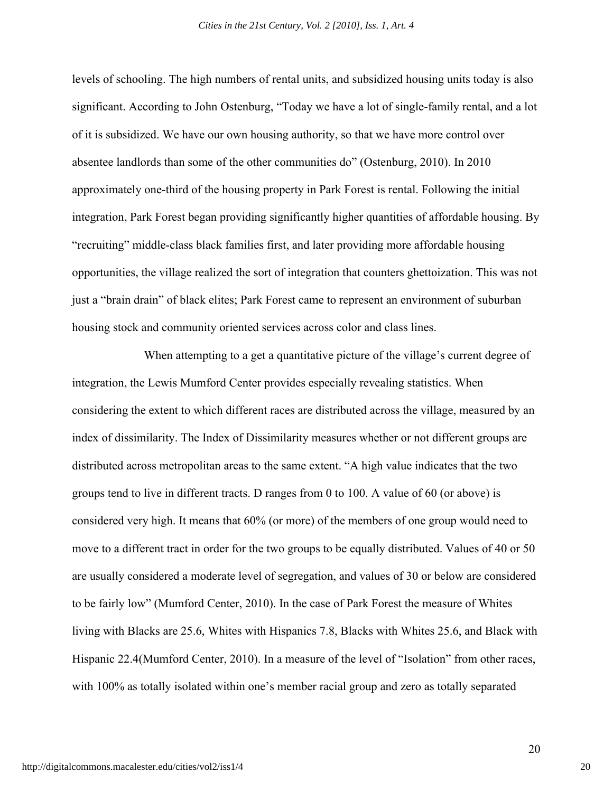levels of schooling. The high numbers of rental units, and subsidized housing units today is also significant. According to John Ostenburg, "Today we have a lot of single-family rental, and a lot of it is subsidized. We have our own housing authority, so that we have more control over absentee landlords than some of the other communities do" (Ostenburg, 2010). In 2010 approximately one-third of the housing property in Park Forest is rental. Following the initial integration, Park Forest began providing significantly higher quantities of affordable housing. By "recruiting" middle-class black families first, and later providing more affordable housing opportunities, the village realized the sort of integration that counters ghettoization. This was not just a "brain drain" of black elites; Park Forest came to represent an environment of suburban housing stock and community oriented services across color and class lines.

When attempting to a get a quantitative picture of the village's current degree of integration, the Lewis Mumford Center provides especially revealing statistics. When considering the extent to which different races are distributed across the village, measured by an index of dissimilarity. The Index of Dissimilarity measures whether or not different groups are distributed across metropolitan areas to the same extent. "A high value indicates that the two groups tend to live in different tracts. D ranges from 0 to 100. A value of 60 (or above) is considered very high. It means that 60% (or more) of the members of one group would need to move to a different tract in order for the two groups to be equally distributed. Values of 40 or 50 are usually considered a moderate level of segregation, and values of 30 or below are considered to be fairly low" (Mumford Center, 2010). In the case of Park Forest the measure of Whites living with Blacks are 25.6, Whites with Hispanics 7.8, Blacks with Whites 25.6, and Black with Hispanic 22.4(Mumford Center, 2010). In a measure of the level of "Isolation" from other races, with 100% as totally isolated within one's member racial group and zero as totally separated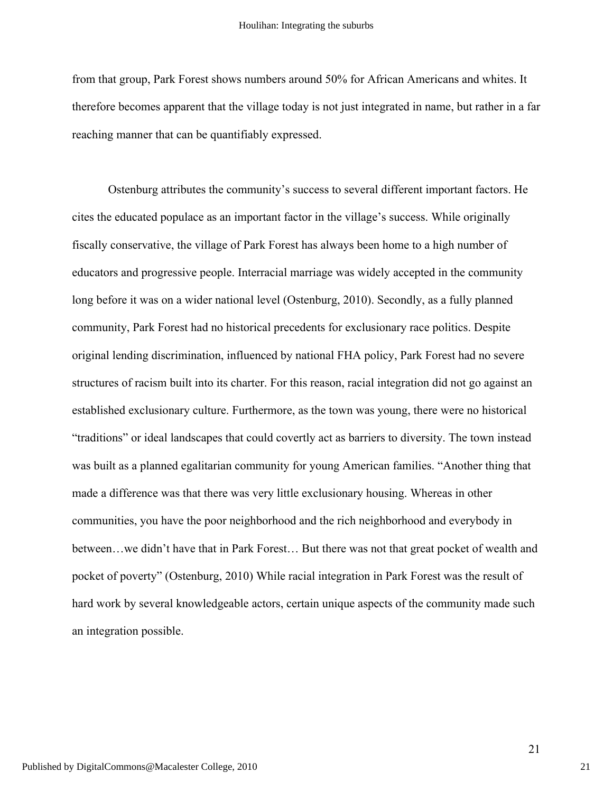from that group, Park Forest shows numbers around 50% for African Americans and whites. It therefore becomes apparent that the village today is not just integrated in name, but rather in a far reaching manner that can be quantifiably expressed.

Ostenburg attributes the community's success to several different important factors. He cites the educated populace as an important factor in the village's success. While originally fiscally conservative, the village of Park Forest has always been home to a high number of educators and progressive people. Interracial marriage was widely accepted in the community long before it was on a wider national level (Ostenburg, 2010). Secondly, as a fully planned community, Park Forest had no historical precedents for exclusionary race politics. Despite original lending discrimination, influenced by national FHA policy, Park Forest had no severe structures of racism built into its charter. For this reason, racial integration did not go against an established exclusionary culture. Furthermore, as the town was young, there were no historical "traditions" or ideal landscapes that could covertly act as barriers to diversity. The town instead was built as a planned egalitarian community for young American families. "Another thing that made a difference was that there was very little exclusionary housing. Whereas in other communities, you have the poor neighborhood and the rich neighborhood and everybody in between…we didn't have that in Park Forest… But there was not that great pocket of wealth and pocket of poverty" (Ostenburg, 2010) While racial integration in Park Forest was the result of hard work by several knowledgeable actors, certain unique aspects of the community made such an integration possible.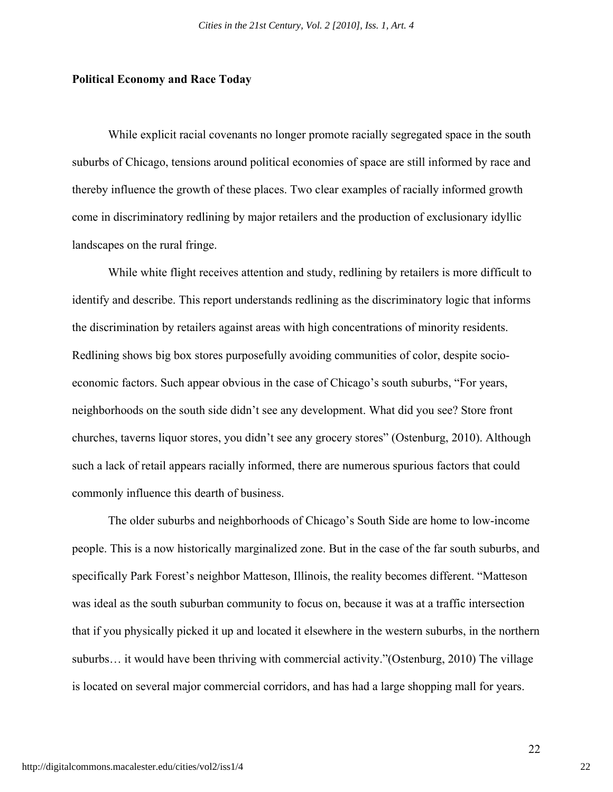#### **Political Economy and Race Today**

While explicit racial covenants no longer promote racially segregated space in the south suburbs of Chicago, tensions around political economies of space are still informed by race and thereby influence the growth of these places. Two clear examples of racially informed growth come in discriminatory redlining by major retailers and the production of exclusionary idyllic landscapes on the rural fringe.

While white flight receives attention and study, redlining by retailers is more difficult to identify and describe. This report understands redlining as the discriminatory logic that informs the discrimination by retailers against areas with high concentrations of minority residents. Redlining shows big box stores purposefully avoiding communities of color, despite socioeconomic factors. Such appear obvious in the case of Chicago's south suburbs, "For years, neighborhoods on the south side didn't see any development. What did you see? Store front churches, taverns liquor stores, you didn't see any grocery stores" (Ostenburg, 2010). Although such a lack of retail appears racially informed, there are numerous spurious factors that could commonly influence this dearth of business.

The older suburbs and neighborhoods of Chicago's South Side are home to low-income people. This is a now historically marginalized zone. But in the case of the far south suburbs, and specifically Park Forest's neighbor Matteson, Illinois, the reality becomes different. "Matteson was ideal as the south suburban community to focus on, because it was at a traffic intersection that if you physically picked it up and located it elsewhere in the western suburbs, in the northern suburbs… it would have been thriving with commercial activity."(Ostenburg, 2010) The village is located on several major commercial corridors, and has had a large shopping mall for years.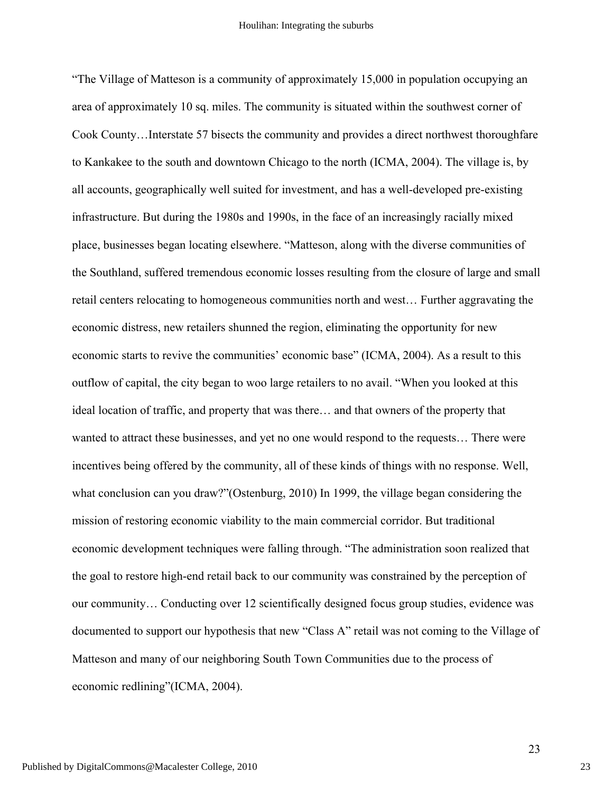"The Village of Matteson is a community of approximately 15,000 in population occupying an area of approximately 10 sq. miles. The community is situated within the southwest corner of Cook County…Interstate 57 bisects the community and provides a direct northwest thoroughfare to Kankakee to the south and downtown Chicago to the north (ICMA, 2004). The village is, by all accounts, geographically well suited for investment, and has a well-developed pre-existing infrastructure. But during the 1980s and 1990s, in the face of an increasingly racially mixed place, businesses began locating elsewhere. "Matteson, along with the diverse communities of the Southland, suffered tremendous economic losses resulting from the closure of large and small retail centers relocating to homogeneous communities north and west… Further aggravating the economic distress, new retailers shunned the region, eliminating the opportunity for new economic starts to revive the communities' economic base" (ICMA, 2004). As a result to this outflow of capital, the city began to woo large retailers to no avail. "When you looked at this ideal location of traffic, and property that was there… and that owners of the property that wanted to attract these businesses, and yet no one would respond to the requests… There were incentives being offered by the community, all of these kinds of things with no response. Well, what conclusion can you draw?"(Ostenburg, 2010) In 1999, the village began considering the mission of restoring economic viability to the main commercial corridor. But traditional economic development techniques were falling through. "The administration soon realized that the goal to restore high-end retail back to our community was constrained by the perception of our community… Conducting over 12 scientifically designed focus group studies, evidence was documented to support our hypothesis that new "Class A" retail was not coming to the Village of Matteson and many of our neighboring South Town Communities due to the process of economic redlining"(ICMA, 2004).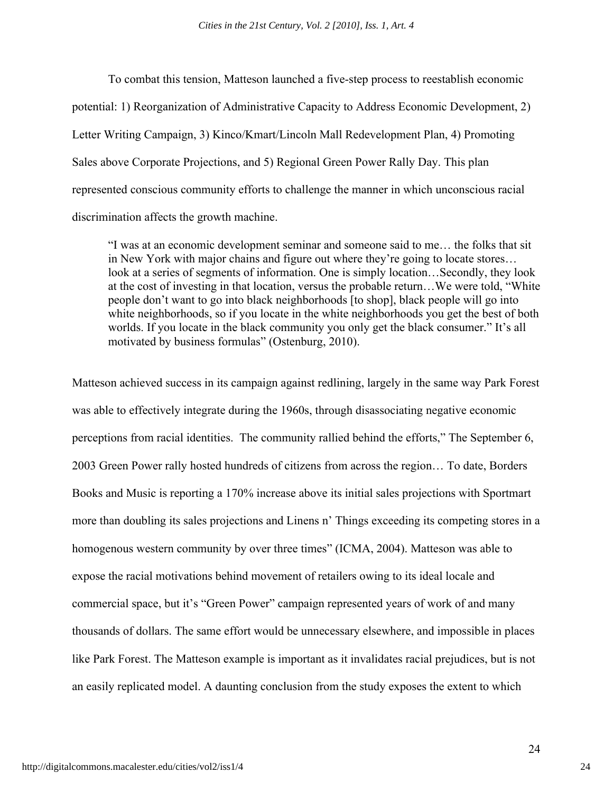To combat this tension, Matteson launched a five-step process to reestablish economic potential: 1) Reorganization of Administrative Capacity to Address Economic Development, 2) Letter Writing Campaign, 3) Kinco/Kmart/Lincoln Mall Redevelopment Plan, 4) Promoting Sales above Corporate Projections, and 5) Regional Green Power Rally Day. This plan represented conscious community efforts to challenge the manner in which unconscious racial discrimination affects the growth machine.

"I was at an economic development seminar and someone said to me… the folks that sit in New York with major chains and figure out where they're going to locate stores… look at a series of segments of information. One is simply location…Secondly, they look at the cost of investing in that location, versus the probable return…We were told, "White people don't want to go into black neighborhoods [to shop], black people will go into white neighborhoods, so if you locate in the white neighborhoods you get the best of both worlds. If you locate in the black community you only get the black consumer." It's all motivated by business formulas" (Ostenburg, 2010).

Matteson achieved success in its campaign against redlining, largely in the same way Park Forest was able to effectively integrate during the 1960s, through disassociating negative economic perceptions from racial identities. The community rallied behind the efforts," The September 6, 2003 Green Power rally hosted hundreds of citizens from across the region… To date, Borders Books and Music is reporting a 170% increase above its initial sales projections with Sportmart more than doubling its sales projections and Linens n' Things exceeding its competing stores in a homogenous western community by over three times" (ICMA, 2004). Matteson was able to expose the racial motivations behind movement of retailers owing to its ideal locale and commercial space, but it's "Green Power" campaign represented years of work of and many thousands of dollars. The same effort would be unnecessary elsewhere, and impossible in places like Park Forest. The Matteson example is important as it invalidates racial prejudices, but is not an easily replicated model. A daunting conclusion from the study exposes the extent to which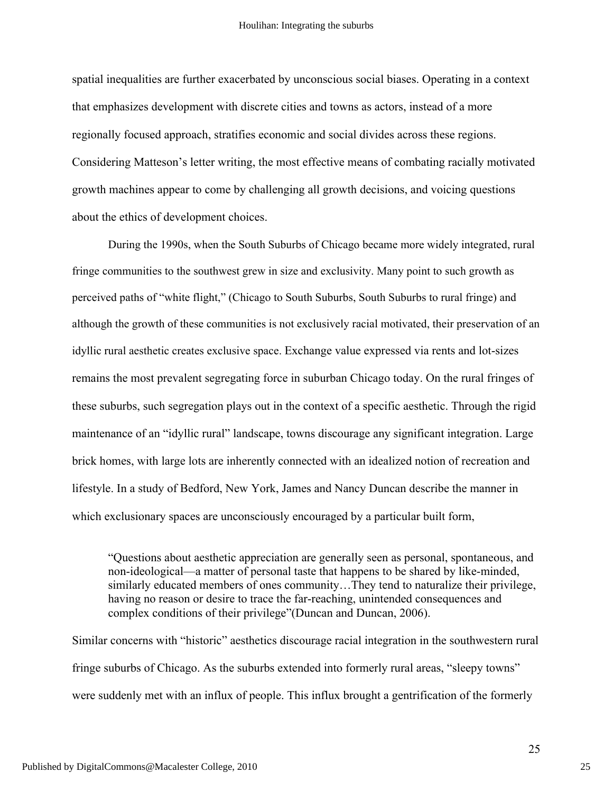spatial inequalities are further exacerbated by unconscious social biases. Operating in a context that emphasizes development with discrete cities and towns as actors, instead of a more regionally focused approach, stratifies economic and social divides across these regions. Considering Matteson's letter writing, the most effective means of combating racially motivated growth machines appear to come by challenging all growth decisions, and voicing questions about the ethics of development choices.

During the 1990s, when the South Suburbs of Chicago became more widely integrated, rural fringe communities to the southwest grew in size and exclusivity. Many point to such growth as perceived paths of "white flight," (Chicago to South Suburbs, South Suburbs to rural fringe) and although the growth of these communities is not exclusively racial motivated, their preservation of an idyllic rural aesthetic creates exclusive space. Exchange value expressed via rents and lot-sizes remains the most prevalent segregating force in suburban Chicago today. On the rural fringes of these suburbs, such segregation plays out in the context of a specific aesthetic. Through the rigid maintenance of an "idyllic rural" landscape, towns discourage any significant integration. Large brick homes, with large lots are inherently connected with an idealized notion of recreation and lifestyle. In a study of Bedford, New York, James and Nancy Duncan describe the manner in which exclusionary spaces are unconsciously encouraged by a particular built form,

"Questions about aesthetic appreciation are generally seen as personal, spontaneous, and non-ideological—a matter of personal taste that happens to be shared by like-minded, similarly educated members of ones community…They tend to naturalize their privilege, having no reason or desire to trace the far-reaching, unintended consequences and complex conditions of their privilege"(Duncan and Duncan, 2006).

Similar concerns with "historic" aesthetics discourage racial integration in the southwestern rural fringe suburbs of Chicago. As the suburbs extended into formerly rural areas, "sleepy towns" were suddenly met with an influx of people. This influx brought a gentrification of the formerly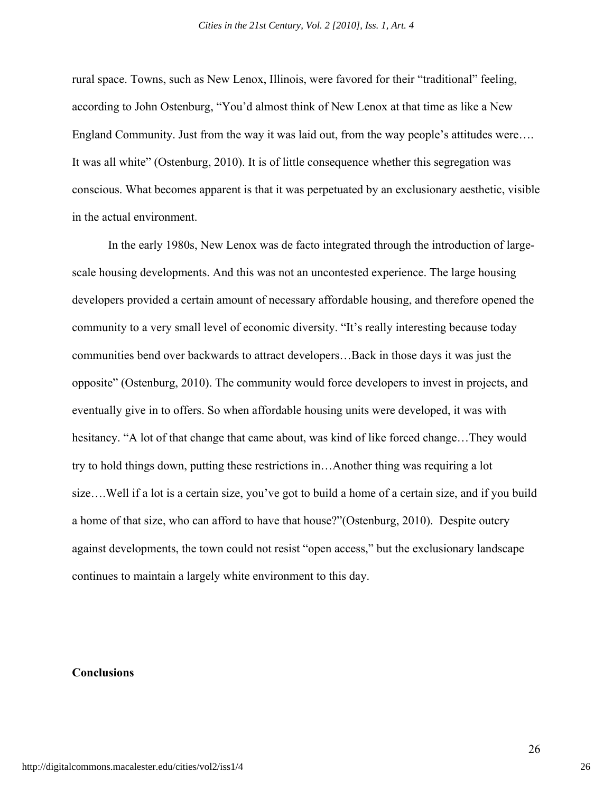rural space. Towns, such as New Lenox, Illinois, were favored for their "traditional" feeling, according to John Ostenburg, "You'd almost think of New Lenox at that time as like a New England Community. Just from the way it was laid out, from the way people's attitudes were.... It was all white" (Ostenburg, 2010). It is of little consequence whether this segregation was conscious. What becomes apparent is that it was perpetuated by an exclusionary aesthetic, visible in the actual environment.

In the early 1980s, New Lenox was de facto integrated through the introduction of largescale housing developments. And this was not an uncontested experience. The large housing developers provided a certain amount of necessary affordable housing, and therefore opened the community to a very small level of economic diversity. "It's really interesting because today communities bend over backwards to attract developers…Back in those days it was just the opposite" (Ostenburg, 2010). The community would force developers to invest in projects, and eventually give in to offers. So when affordable housing units were developed, it was with hesitancy. "A lot of that change that came about, was kind of like forced change…They would try to hold things down, putting these restrictions in…Another thing was requiring a lot size….Well if a lot is a certain size, you've got to build a home of a certain size, and if you build a home of that size, who can afford to have that house?"(Ostenburg, 2010). Despite outcry against developments, the town could not resist "open access," but the exclusionary landscape continues to maintain a largely white environment to this day.

# **Conclusions**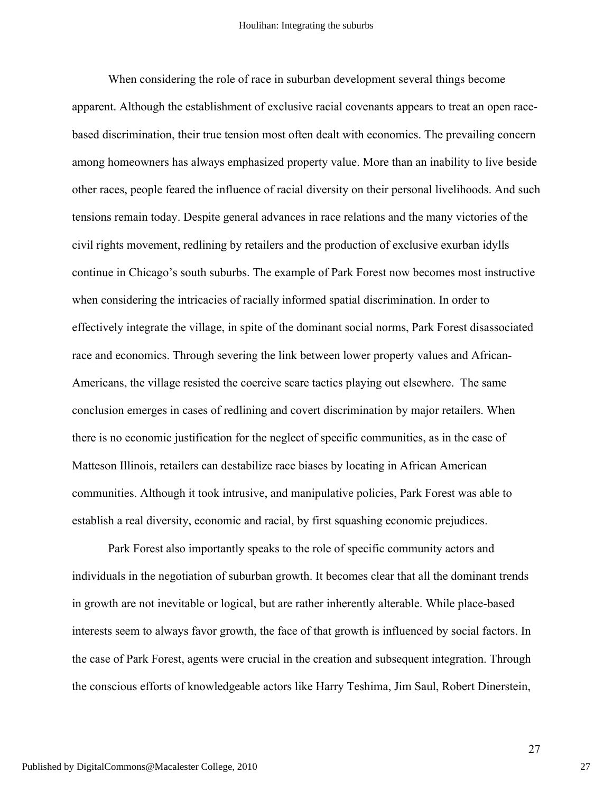When considering the role of race in suburban development several things become apparent. Although the establishment of exclusive racial covenants appears to treat an open racebased discrimination, their true tension most often dealt with economics. The prevailing concern among homeowners has always emphasized property value. More than an inability to live beside other races, people feared the influence of racial diversity on their personal livelihoods. And such tensions remain today. Despite general advances in race relations and the many victories of the civil rights movement, redlining by retailers and the production of exclusive exurban idylls continue in Chicago's south suburbs. The example of Park Forest now becomes most instructive when considering the intricacies of racially informed spatial discrimination. In order to effectively integrate the village, in spite of the dominant social norms, Park Forest disassociated race and economics. Through severing the link between lower property values and African-Americans, the village resisted the coercive scare tactics playing out elsewhere. The same conclusion emerges in cases of redlining and covert discrimination by major retailers. When there is no economic justification for the neglect of specific communities, as in the case of Matteson Illinois, retailers can destabilize race biases by locating in African American communities. Although it took intrusive, and manipulative policies, Park Forest was able to establish a real diversity, economic and racial, by first squashing economic prejudices.

Park Forest also importantly speaks to the role of specific community actors and individuals in the negotiation of suburban growth. It becomes clear that all the dominant trends in growth are not inevitable or logical, but are rather inherently alterable. While place-based interests seem to always favor growth, the face of that growth is influenced by social factors. In the case of Park Forest, agents were crucial in the creation and subsequent integration. Through the conscious efforts of knowledgeable actors like Harry Teshima, Jim Saul, Robert Dinerstein,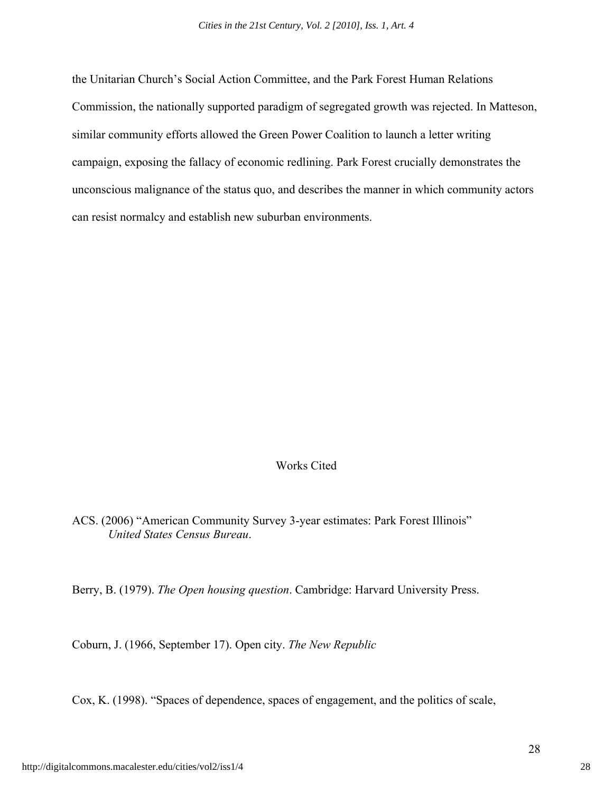the Unitarian Church's Social Action Committee, and the Park Forest Human Relations Commission, the nationally supported paradigm of segregated growth was rejected. In Matteson, similar community efforts allowed the Green Power Coalition to launch a letter writing campaign, exposing the fallacy of economic redlining. Park Forest crucially demonstrates the unconscious malignance of the status quo, and describes the manner in which community actors can resist normalcy and establish new suburban environments.

# Works Cited

ACS. (2006) "American Community Survey 3-year estimates: Park Forest Illinois" *United States Census Bureau*.

Berry, B. (1979). *The Open housing question*. Cambridge: Harvard University Press.

Coburn, J. (1966, September 17). Open city. *The New Republic*

Cox, K. (1998). "Spaces of dependence, spaces of engagement, and the politics of scale,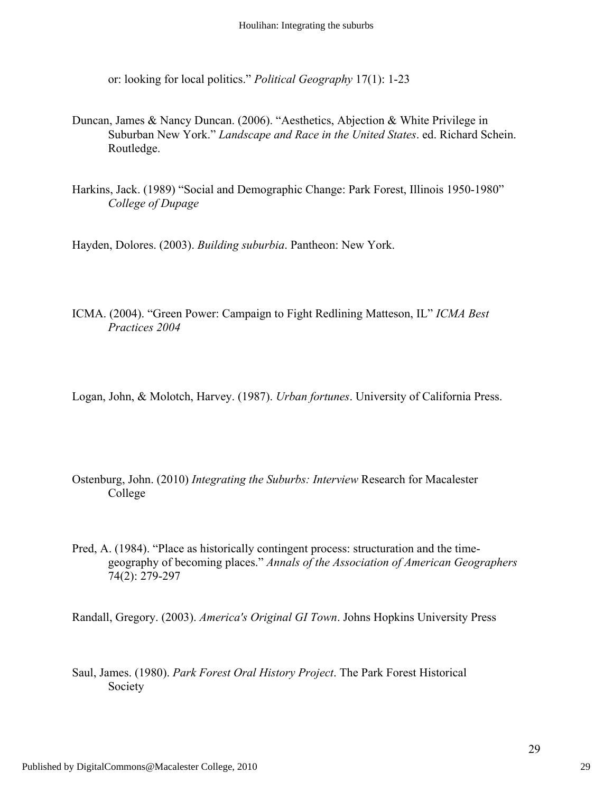or: looking for local politics." *Political Geography* 17(1): 1-23

- Duncan, James & Nancy Duncan. (2006). "Aesthetics, Abjection & White Privilege in Suburban New York." *Landscape and Race in the United States*. ed. Richard Schein. Routledge.
- Harkins, Jack. (1989) "Social and Demographic Change: Park Forest, Illinois 1950-1980" *College of Dupage*

Hayden, Dolores. (2003). *Building suburbia*. Pantheon: New York.

- ICMA. (2004). "Green Power: Campaign to Fight Redlining Matteson, IL" *ICMA Best Practices 2004*
- Logan, John, & Molotch, Harvey. (1987). *Urban fortunes*. University of California Press.
- Ostenburg, John. (2010) *Integrating the Suburbs: Interview* Research for Macalester College
- Pred, A. (1984). "Place as historically contingent process: structuration and the timegeography of becoming places." *Annals of the Association of American Geographers* 74(2): 279-297

Randall, Gregory. (2003). *America's Original GI Town*. Johns Hopkins University Press

Saul, James. (1980). *Park Forest Oral History Project*. The Park Forest Historical Society